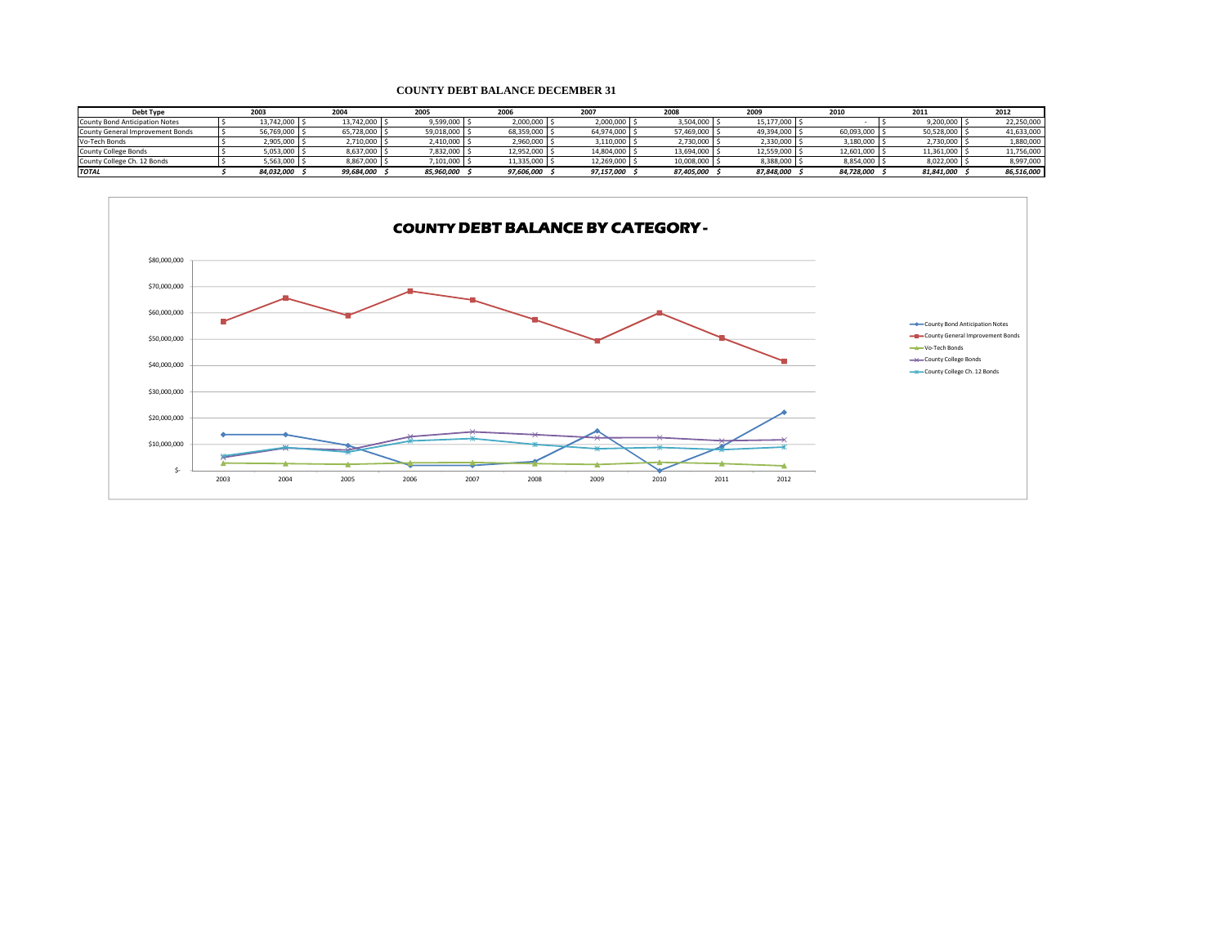## **COUNTY DEBT BALANCE DECEMBER 31**

| <b>Debt Type</b>                 | 2003           | 2004       | 2005           | 2006       | 2007          | 2008       | 2009       | 201        | 2011       | 2012       |
|----------------------------------|----------------|------------|----------------|------------|---------------|------------|------------|------------|------------|------------|
| County Bond Anticipation Notes   | 13,742,000 \$  | 13.742.000 | $9,599,000$ \$ | 2,000,000  | 2,000,000     | 3,504,000  | 15.177.000 |            | 9,200,000  | 22,250,000 |
| County General Improvement Bonds | 56,769,000 \$  | 65,728,000 | 59,018,000 \$  | 68,359,000 | 64,974,000    | 57,469,000 | 49,394,000 | 60,093,000 | 50,528,000 | 41,633,000 |
| Vo-Tech Bonds                    | 2,905,000      | 2,710,000  | 2,410,000 \$   | 2,960,000  | 3,110,000     | 2,730,000  | 2,330,000  | 3,180,000  | 2,730,000  | 1,880,000  |
| County College Bonds             | 5,053,000      | 8,637,000  | 7,832,000      | 12,952,000 | 14,804,000 \$ | 13,694,000 | 12,559,000 | 12,601,000 | 11,361,000 | 11,756,000 |
| County College Ch. 12 Bonds      | $5,563,000$ \$ | 8,867,000  | 7,101,000      | 11,335,000 | 12,269,000 \$ | 10,008,000 | 8,388,000  | 8,854,000  | 8,022,000  | 8,997,000  |
| <b>TOTAL</b>                     | 84.032.000     | 99,684,000 | 85,960,000     | 97,606,000 | 97,157,000    | 87.405.000 | 87,848,000 | 84,728,000 | 81,841,000 | 86,516,000 |

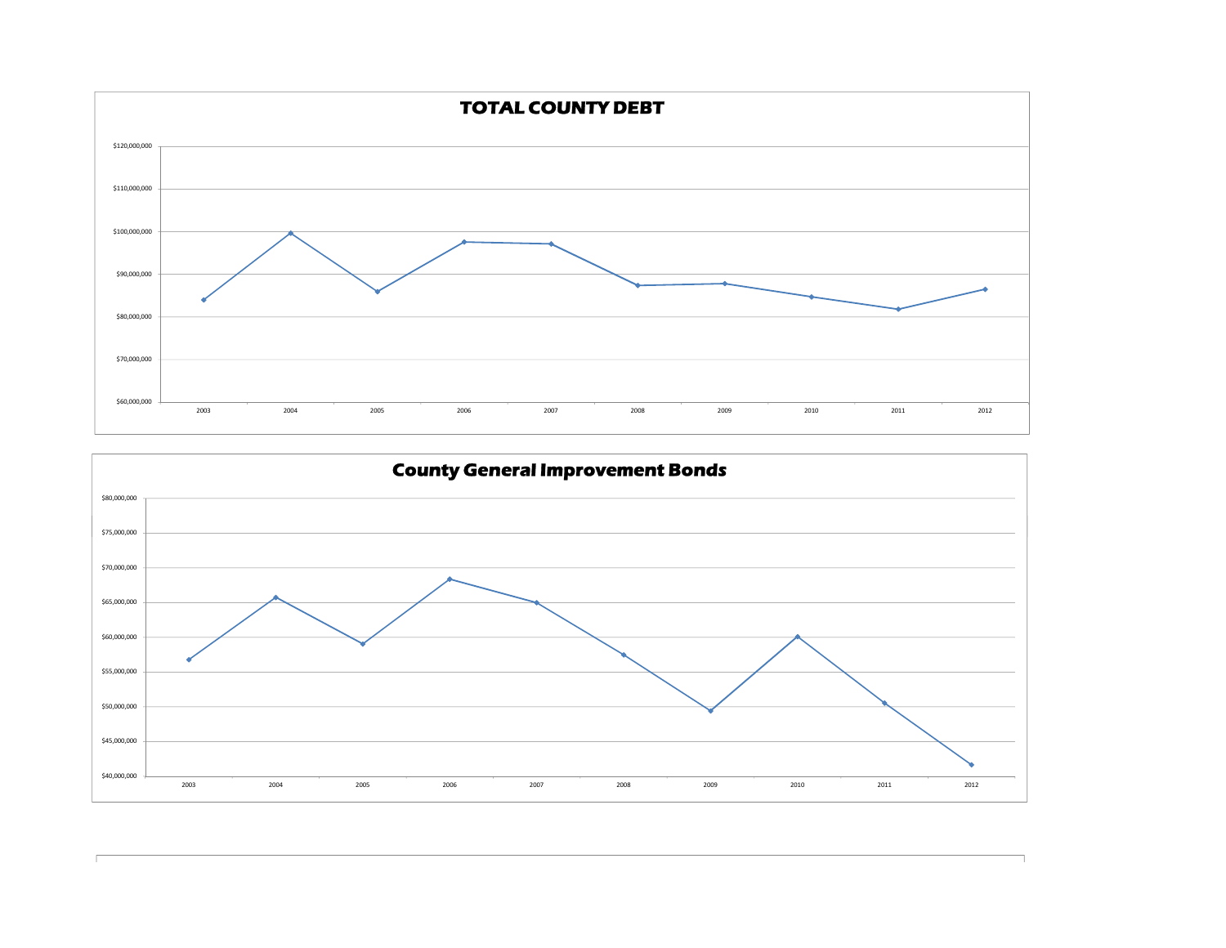